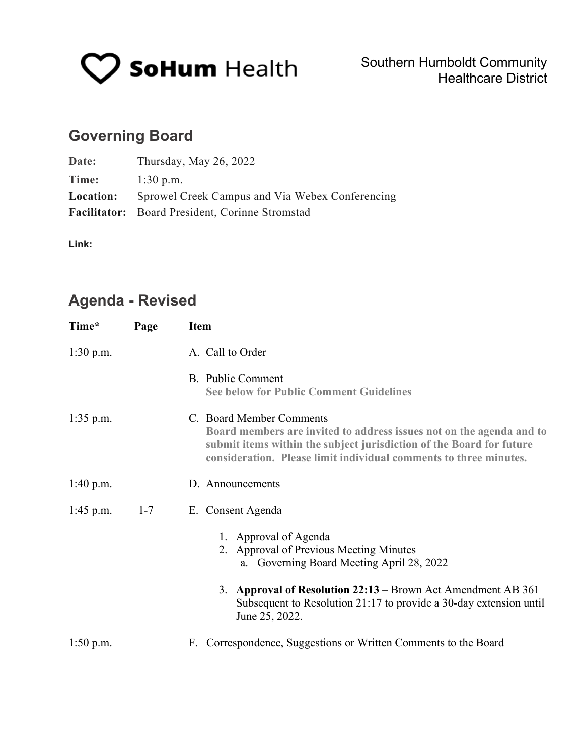

# **Governing Board**

| Date:            | Thursday, May $26$ , $2022$                     |
|------------------|-------------------------------------------------|
| Time:            | $1:30$ p.m.                                     |
| <b>Location:</b> | Sprowel Creek Campus and Via Webex Conferencing |
|                  | Facilitator: Board President, Corinne Stromstad |

**Link:** 

## **Agenda - Revised**

| Time*       | Page    | <b>Item</b>                                                                                                                                                                                                                                   |  |  |
|-------------|---------|-----------------------------------------------------------------------------------------------------------------------------------------------------------------------------------------------------------------------------------------------|--|--|
| $1:30$ p.m. |         | A. Call to Order                                                                                                                                                                                                                              |  |  |
|             |         | B. Public Comment<br><b>See below for Public Comment Guidelines</b>                                                                                                                                                                           |  |  |
| $1:35$ p.m. |         | C. Board Member Comments<br>Board members are invited to address issues not on the agenda and to<br>submit items within the subject jurisdiction of the Board for future<br>consideration. Please limit individual comments to three minutes. |  |  |
| $1:40$ p.m. |         | D. Announcements                                                                                                                                                                                                                              |  |  |
| $1:45$ p.m. | $1 - 7$ | E. Consent Agenda                                                                                                                                                                                                                             |  |  |
|             |         | 1. Approval of Agenda<br>2. Approval of Previous Meeting Minutes<br>a. Governing Board Meeting April 28, 2022                                                                                                                                 |  |  |
|             |         | 3. Approval of Resolution 22:13 – Brown Act Amendment AB 361<br>Subsequent to Resolution 21:17 to provide a 30-day extension until<br>June 25, 2022.                                                                                          |  |  |
| $1:50$ p.m. |         | F. Correspondence, Suggestions or Written Comments to the Board                                                                                                                                                                               |  |  |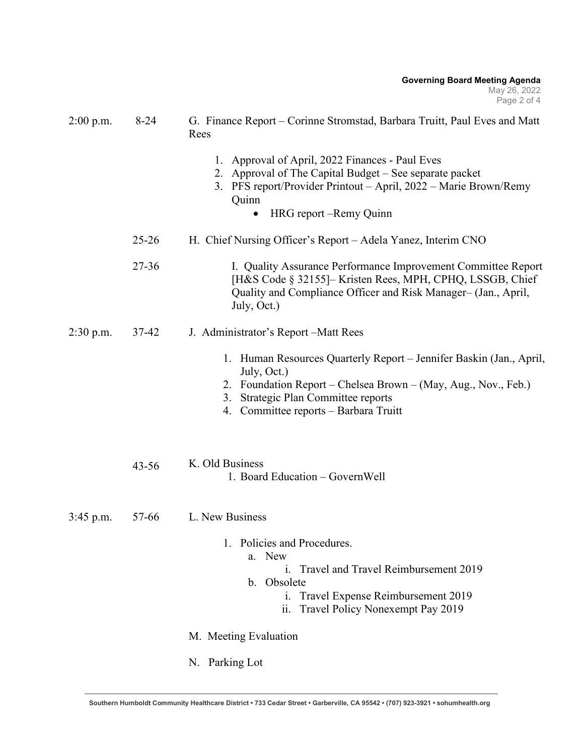| $2:00$ p.m. | $8-24$    | G. Finance Report – Corinne Stromstad, Barbara Truitt, Paul Eves and Matt<br>Rees                                                                                                                                                    |  |
|-------------|-----------|--------------------------------------------------------------------------------------------------------------------------------------------------------------------------------------------------------------------------------------|--|
|             |           | 1. Approval of April, 2022 Finances - Paul Eves<br>2. Approval of The Capital Budget – See separate packet<br>3. PFS report/Provider Printout - April, 2022 - Marie Brown/Remy<br>Quinn<br>HRG report – Remy Quinn                   |  |
|             | $25 - 26$ | H. Chief Nursing Officer's Report – Adela Yanez, Interim CNO                                                                                                                                                                         |  |
|             | $27 - 36$ | I. Quality Assurance Performance Improvement Committee Report<br>[H&S Code § 32155]– Kristen Rees, MPH, CPHQ, LSSGB, Chief<br>Quality and Compliance Officer and Risk Manager- (Jan., April,<br>July, Oct.)                          |  |
| $2:30$ p.m. | 37-42     | J. Administrator's Report – Matt Rees                                                                                                                                                                                                |  |
|             |           | 1. Human Resources Quarterly Report – Jennifer Baskin (Jan., April,<br>July, Oct.)<br>2. Foundation Report - Chelsea Brown - (May, Aug., Nov., Feb.)<br>3. Strategic Plan Committee reports<br>4. Committee reports - Barbara Truitt |  |
|             | $43 - 56$ | K. Old Business<br>1. Board Education - GovernWell                                                                                                                                                                                   |  |
| $3:45$ p.m. | 57-66     | L. New Business                                                                                                                                                                                                                      |  |
|             |           | 1. Policies and Procedures.<br>a. New<br>i. Travel and Travel Reimbursement 2019<br>b. Obsolete<br>Travel Expense Reimbursement 2019<br>i.<br>Travel Policy Nonexempt Pay 2019<br>11.                                                |  |
|             |           | M. Meeting Evaluation                                                                                                                                                                                                                |  |
|             |           | N. Parking Lot                                                                                                                                                                                                                       |  |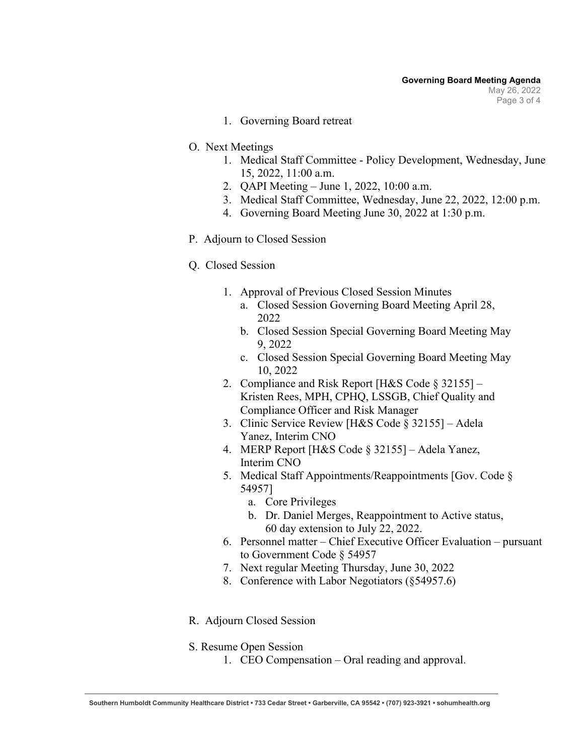- 1. Governing Board retreat
- O. Next Meetings
	- 1. Medical Staff Committee Policy Development, Wednesday, June 15, 2022, 11:00 a.m.
	- 2. QAPI Meeting June 1, 2022, 10:00 a.m.
	- 3. Medical Staff Committee, Wednesday, June 22, 2022, 12:00 p.m.
	- 4. Governing Board Meeting June 30, 2022 at 1:30 p.m.
- P. Adjourn to Closed Session
- Q. Closed Session
	- 1. Approval of Previous Closed Session Minutes
		- a. Closed Session Governing Board Meeting April 28, 2022
		- b. Closed Session Special Governing Board Meeting May 9, 2022
		- c. Closed Session Special Governing Board Meeting May 10, 2022
	- 2. Compliance and Risk Report [H&S Code § 32155] Kristen Rees, MPH, CPHQ, LSSGB, Chief Quality and Compliance Officer and Risk Manager
	- 3. Clinic Service Review [H&S Code § 32155] Adela Yanez, Interim CNO
	- 4. MERP Report [H&S Code § 32155] Adela Yanez, Interim CNO
	- 5. Medical Staff Appointments/Reappointments [Gov. Code § 54957]
		- a. Core Privileges
		- b. Dr. Daniel Merges, Reappointment to Active status, 60 day extension to July 22, 2022.
	- 6. Personnel matter Chief Executive Officer Evaluation pursuant to Government Code § 54957
	- 7. Next regular Meeting Thursday, June 30, 2022
	- 8. Conference with Labor Negotiators (§54957.6)
- R. Adjourn Closed Session
- S. Resume Open Session
	- 1. CEO Compensation Oral reading and approval.